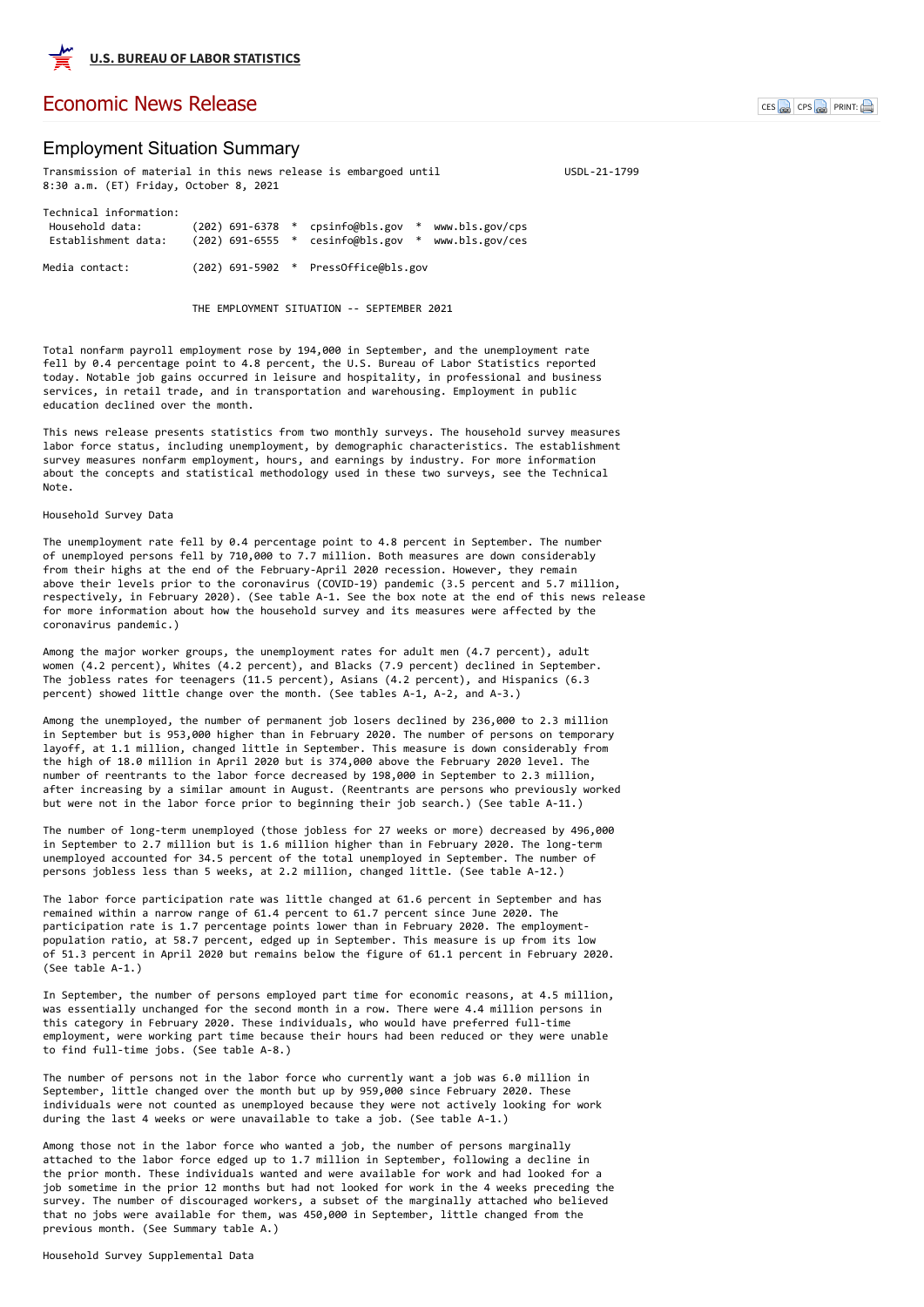# Employment Situation Summary

Transmission of material in this news release is embargoed until VSDL-21-1799 8:30 a.m. (ET) Friday, October 8, 2021 Technical information:

| Household data:<br>Establishment data: |  | $(202)$ 691-6378 * cpsinfo@bls.gov * www.bls.gov/cps<br>$(202)$ 691-6555 $*$ cesinfo@bls.gov | $*$ | www.bls.gov/ces |
|----------------------------------------|--|----------------------------------------------------------------------------------------------|-----|-----------------|
| Media contact:                         |  | $(202)$ 691-5902 $*$ PressOffice@bls.gov                                                     |     |                 |

THE EMPLOYMENT SITUATION -- SEPTEMBER 2021

Total nonfarm payroll employment rose by 194,000 in September, and the unemployment rate fell by 0.4 percentage point to 4.8 percent, the U.S. Bureau of Labor Statistics reported today. Notable job gains occurred in leisure and hospitality, in professional and business services, in retail trade, and in transportation and warehousing. Employment in public education declined over the month.

This news release presents statistics from two monthly surveys. The household survey measures labor force status, including unemployment, by demographic characteristics. The establishment survey measures nonfarm employment, hours, and earnings by industry. For more information about the concepts and statistical methodology used in these two surveys, see the Technical Note.

Household Survey Data

The unemployment rate fell by 0.4 percentage point to 4.8 percent in September. The number of unemployed persons fell by 710,000 to 7.7 million. Both measures are down considerably from their highs at the end of the February-April 2020 recession. However, they remain above their levels prior to the coronavirus (COVID-19) pandemic (3.5 percent and 5.7 million, respectively, in February 2020). (See table A-1. See the box note at the end of this news release for more information about how the household survey and its measures were affected by the coronavirus pandemic.)

Among the major worker groups, the unemployment rates for adult men (4.7 percent), adult women (4.2 percent), Whites (4.2 percent), and Blacks (7.9 percent) declined in September. The jobless rates for teenagers (11.5 percent), Asians (4.2 percent), and Hispanics (6.3 percent) showed little change over the month. (See tables A-1, A-2, and A-3.)

Among the unemployed, the number of permanent job losers declined by 236,000 to 2.3 million in September but is 953,000 higher than in February 2020. The number of persons on temporary layoff, at 1.1 million, changed little in September. This measure is down considerably from the high of 18.0 million in April 2020 but is 374,000 above the February 2020 level. The number of reentrants to the labor force decreased by 198,000 in September to 2.3 million, after increasing by a similar amount in August. (Reentrants are persons who previously worked but were not in the labor force prior to beginning their job search.) (See table A-11.)

The number of long-term unemployed (those jobless for 27 weeks or more) decreased by 496,000 in September to 2.7 million but is 1.6 million higher than in February 2020. The long-term unemployed accounted for 34.5 percent of the total unemployed in September. The number of persons jobless less than 5 weeks, at 2.2 million, changed little. (See table A-12.)

The labor force participation rate was little changed at 61.6 percent in September and has remained within a narrow range of 61.4 percent to 61.7 percent since June 2020. The participation rate is 1.7 percentage points lower than in February 2020. The employmentpopulation ratio, at 58.7 percent, edged up in September. This measure is up from its low of 51.3 percent in April 2020 but remains below the figure of 61.1 percent in February 2020. (See table A-1.)

In September, the number of persons employed part time for economic reasons, at 4.5 million, was essentially unchanged for the second month in a row. There were 4.4 million persons in this category in February 2020. These individuals, who would have preferred full-time employment, were working part time because their hours had been reduced or they were unable to find full-time jobs. (See table A-8.)

The number of persons not in the labor force who currently want a job was 6.0 million in September, little changed over the month but up by 959,000 since February 2020. These individuals were not counted as unemployed because they were not actively looking for work during the last 4 weeks or were unavailable to take a job. (See table A-1.)

Among those not in the labor force who wanted a job, the number of persons marginally attached to the labor force edged up to 1.7 million in September, following a decline in the prior month. These individuals wanted and were available for work and had looked for a job sometime in the prior 12 months but had not looked for work in the 4 weeks preceding the survey. The number of discouraged workers, a subset of the marginally attached who believed that no jobs were available for them, was 450,000 in September, little changed from the previous month. (See Summary table A.)

Household Survey Supplemental Data



## [Economic News Release](https://www.bls.gov/bls/newsrels.htm) CES CPS PRINT: A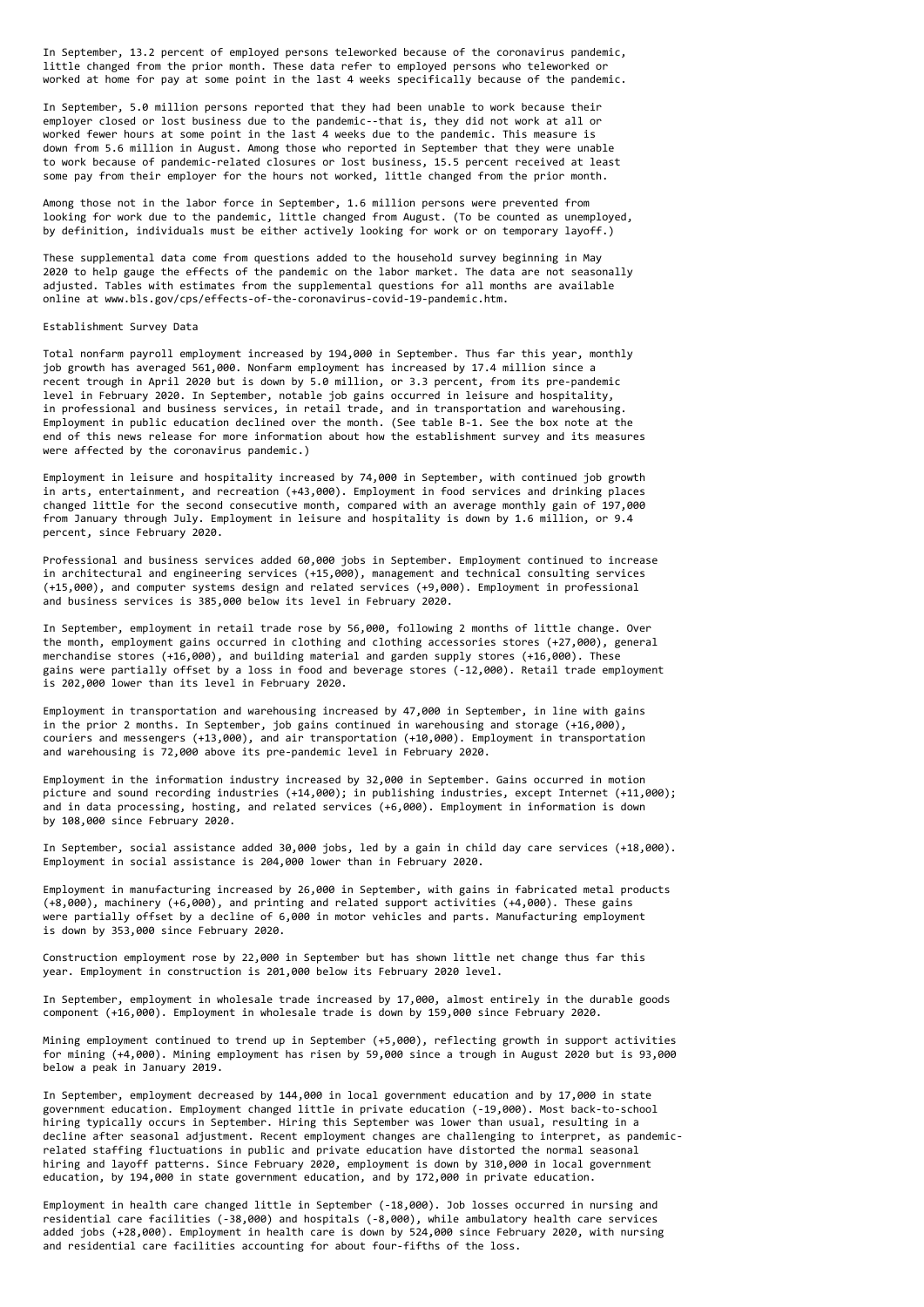In September, 13.2 percent of employed persons teleworked because of the coronavirus pandemic, little changed from the prior month. These data refer to employed persons who teleworked or worked at home for pay at some point in the last 4 weeks specifically because of the pandemic.

In September, 5.0 million persons reported that they had been unable to work because their employer closed or lost business due to the pandemic--that is, they did not work at all or worked fewer hours at some point in the last 4 weeks due to the pandemic. This measure is down from 5.6 million in August. Among those who reported in September that they were unable to work because of pandemic-related closures or lost business, 15.5 percent received at least some pay from their employer for the hours not worked, little changed from the prior month.

Among those not in the labor force in September, 1.6 million persons were prevented from looking for work due to the pandemic, little changed from August. (To be counted as unemployed, by definition, individuals must be either actively looking for work or on temporary layoff.)

These supplemental data come from questions added to the household survey beginning in May 2020 to help gauge the effects of the pandemic on the labor market. The data are not seasonally adjusted. Tables with estimates from the supplemental questions for all months are available online at www.bls.gov/cps/effects-of-the-coronavirus-covid-19-pandemic.htm.

#### Establishment Survey Data

Total nonfarm payroll employment increased by 194,000 in September. Thus far this year, monthly job growth has averaged 561,000. Nonfarm employment has increased by 17.4 million since a recent trough in April 2020 but is down by 5.0 million, or 3.3 percent, from its pre-pandemic level in February 2020. In September, notable job gains occurred in leisure and hospitality, in professional and business services, in retail trade, and in transportation and warehousing. Employment in public education declined over the month. (See table B-1. See the box note at the end of this news release for more information about how the establishment survey and its measures were affected by the coronavirus pandemic.)

Employment in leisure and hospitality increased by 74,000 in September, with continued job growth in arts, entertainment, and recreation (+43,000). Employment in food services and drinking places changed little for the second consecutive month, compared with an average monthly gain of 197,000 from January through July. Employment in leisure and hospitality is down by 1.6 million, or 9.4 percent, since February 2020.

Professional and business services added 60,000 jobs in September. Employment continued to increase in architectural and engineering services (+15,000), management and technical consulting services (+15,000), and computer systems design and related services (+9,000). Employment in professional and business services is 385,000 below its level in February 2020.

In September, employment in retail trade rose by 56,000, following 2 months of little change. Over the month, employment gains occurred in clothing and clothing accessories stores (+27,000), general merchandise stores (+16,000), and building material and garden supply stores (+16,000). These gains were partially offset by a loss in food and beverage stores (-12,000). Retail trade employment is 202,000 lower than its level in February 2020.

Employment in transportation and warehousing increased by 47,000 in September, in line with gains in the prior 2 months. In September, job gains continued in warehousing and storage (+16,000), couriers and messengers (+13,000), and air transportation (+10,000). Employment in transportation and warehousing is 72,000 above its pre-pandemic level in February 2020.

Employment in the information industry increased by 32,000 in September. Gains occurred in motion picture and sound recording industries (+14,000); in publishing industries, except Internet (+11,000); and in data processing, hosting, and related services (+6,000). Employment in information is down by 108,000 since February 2020.

In September, social assistance added 30,000 jobs, led by a gain in child day care services (+18,000). Employment in social assistance is 204,000 lower than in February 2020.

Employment in manufacturing increased by 26,000 in September, with gains in fabricated metal products (+8,000), machinery (+6,000), and printing and related support activities (+4,000). These gains were partially offset by a decline of 6,000 in motor vehicles and parts. Manufacturing employment is down by 353,000 since February 2020.

Construction employment rose by 22,000 in September but has shown little net change thus far this year. Employment in construction is 201,000 below its February 2020 level.

In September, employment in wholesale trade increased by 17,000, almost entirely in the durable goods component (+16,000). Employment in wholesale trade is down by 159,000 since February 2020.

Mining employment continued to trend up in September (+5,000), reflecting growth in support activities for mining (+4,000). Mining employment has risen by 59,000 since a trough in August 2020 but is 93,000 below a peak in January 2019.

In September, employment decreased by 144,000 in local government education and by 17,000 in state government education. Employment changed little in private education (-19,000). Most back-to-school hiring typically occurs in September. Hiring this September was lower than usual, resulting in a decline after seasonal adjustment. Recent employment changes are challenging to interpret, as pandemicrelated staffing fluctuations in public and private education have distorted the normal seasonal hiring and layoff patterns. Since February 2020, employment is down by 310,000 in local government education, by 194,000 in state government education, and by 172,000 in private education.

Employment in health care changed little in September (-18,000). Job losses occurred in nursing and residential care facilities (-38,000) and hospitals (-8,000), while ambulatory health care services added jobs (+28,000). Employment in health care is down by 524,000 since February 2020, with nursing and residential care facilities accounting for about four-fifths of the loss.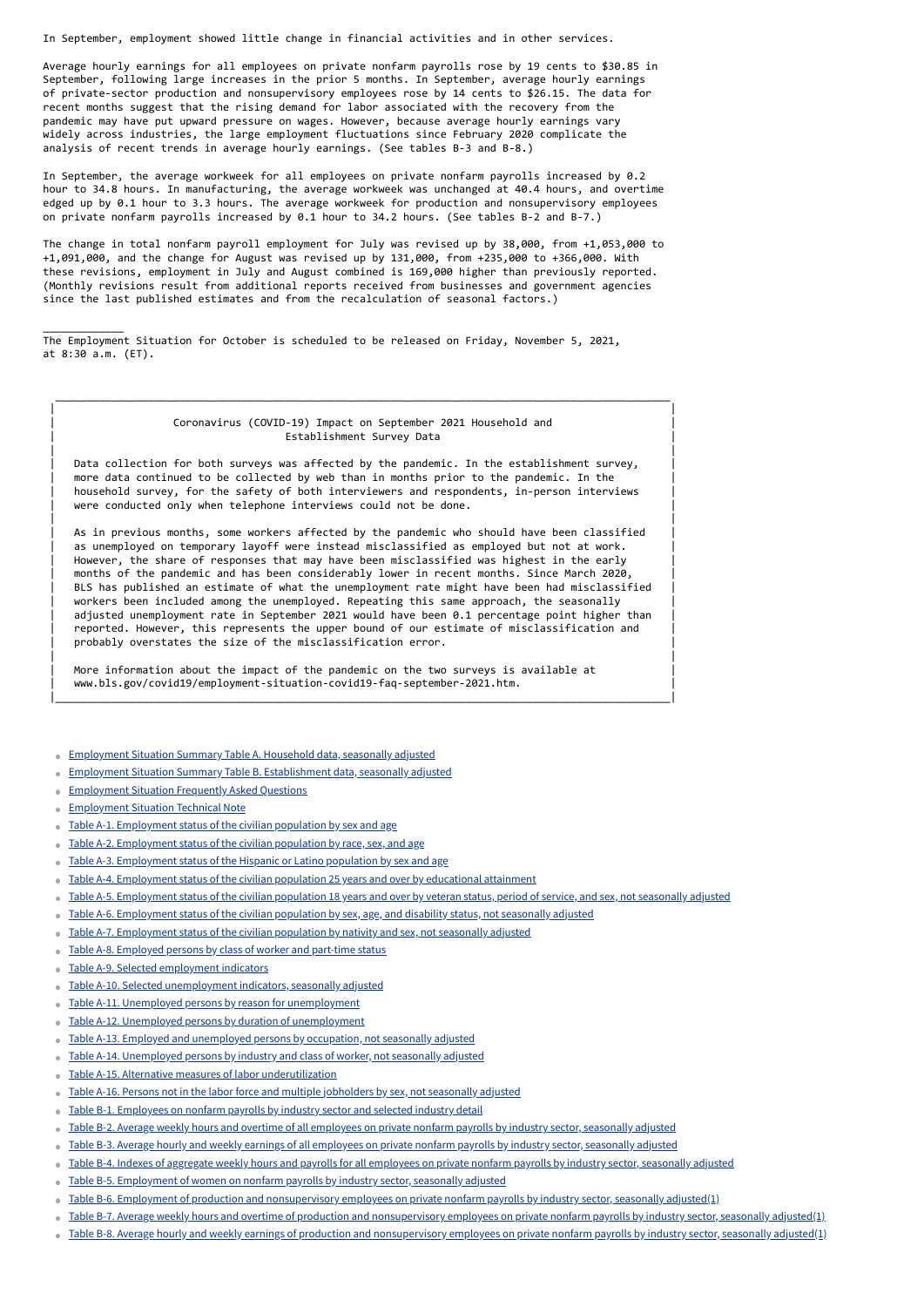In September, employment showed little change in financial activities and in other services.

Average hourly earnings for all employees on private nonfarm payrolls rose by 19 cents to \$30.85 in September, following large increases in the prior 5 months. In September, average hourly earnings of private-sector production and nonsupervisory employees rose by 14 cents to \$26.15. The data for recent months suggest that the rising demand for labor associated with the recovery from the pandemic may have put upward pressure on wages. However, because average hourly earnings vary widely across industries, the large employment fluctuations since February 2020 complicate the analysis of recent trends in average hourly earnings. (See tables B-3 and B-8.)

### | | Coronavirus (COVID-19) Impact on September 2021 Household and Establishment Survey Data

In September, the average workweek for all employees on private nonfarm payrolls increased by 0.2 hour to 34.8 hours. In manufacturing, the average workweek was unchanged at 40.4 hours, and overtime edged up by 0.1 hour to 3.3 hours. The average workweek for production and nonsupervisory employees on private nonfarm payrolls increased by 0.1 hour to 34.2 hours. (See tables B-2 and B-7.)

The change in total nonfarm payroll employment for July was revised up by 38,000, from +1,053,000 to +1,091,000, and the change for August was revised up by 131,000, from +235,000 to +366,000. With these revisions, employment in July and August combined is 169,000 higher than previously reported. (Monthly revisions result from additional reports received from businesses and government agencies since the last published estimates and from the recalculation of seasonal factors.)

\_\_\_\_\_\_\_\_\_\_\_\_\_

- Table A-1. [Employment](https://www.bls.gov/news.release/empsit.t01.htm) status of the civilian population by sex and age  $\alpha$
- Table A-2. [Employment](https://www.bls.gov/news.release/empsit.t02.htm) status of the civilian population by race, sex, and age
- Table A-3. [Employment](https://www.bls.gov/news.release/empsit.t03.htm) status of the Hispanic or Latino population by sex and age  $\alpha$
- Table A-4. [Employment](https://www.bls.gov/news.release/empsit.t04.htm) status of the civilian population 25 years and over by educational attainment  $\alpha$
- Table A-5. [Employment](https://www.bls.gov/news.release/empsit.t05.htm) status of the civilian population 18 years and over by veteran status, period of service, and sex, not seasonally adjusted  $\ddot{\phantom{a}}$
- Table A-6. [Employment](https://www.bls.gov/news.release/empsit.t06.htm) status of the civilian population by sex, age, and disability status, not seasonally adjusted  $\ddot{\phantom{a}}$
- Table A-7. [Employment](https://www.bls.gov/news.release/empsit.t07.htm) status of the civilian population by nativity and sex, not seasonally adjusted
- Table A-8. [Employed](https://www.bls.gov/news.release/empsit.t08.htm) persons by class of worker and part-time status  $\bullet$
- Table A-9. Selected [employment](https://www.bls.gov/news.release/empsit.t09.htm) indicators
- Table A-10. Selected [unemployment](https://www.bls.gov/news.release/empsit.t10.htm) indicators, seasonally adjusted
- ۰
- Table A-11. Unemployed persons by reason for [unemployment](https://www.bls.gov/news.release/empsit.t11.htm)  $\bullet$
- Table A-12. Unemployed persons by duration of [unemployment](https://www.bls.gov/news.release/empsit.t12.htm)  $\ddot{\phantom{a}}$
- Table A-13. Employed and [unemployed](https://www.bls.gov/news.release/empsit.t13.htm) persons by occupation, not seasonally adjusted ö
- Table A-14. [Unemployed](https://www.bls.gov/news.release/empsit.t14.htm) persons by industry and class of worker, not seasonally adjusted  $\Rightarrow$
- Table A-15. Alternative measures of labor [underutilization](https://www.bls.gov/news.release/empsit.t15.htm) ö
- Table A-16. Persons not in the labor force and multiple [jobholders](https://www.bls.gov/news.release/empsit.t16.htm) by sex, not seasonally adjusted  $\ddot{\phantom{a}}$
- Table B-1. [Employees](https://www.bls.gov/news.release/empsit.t17.htm) on nonfarm payrolls by industry sector and selected industry detail  $\bullet$
- Table B-2. Average weekly hours and overtime of all [employees](https://www.bls.gov/news.release/empsit.t18.htm) on private nonfarm payrolls by industry sector, seasonally adjusted  $\ddot{\phantom{a}}$
- Table B-3. Average hourly and weekly earnings of all [employees](https://www.bls.gov/news.release/empsit.t19.htm) on private nonfarm payrolls by industry sector, seasonally adjusted  $\ddot{\phantom{a}}$
- Table B-4. Indexes of aggregate weekly hours and payrolls for all [employees](https://www.bls.gov/news.release/empsit.t20.htm) on private nonfarm payrolls by industry sector, seasonally adjusted  $\ddot{\phantom{a}}$
- Table B-5. [Employment](https://www.bls.gov/news.release/empsit.t21.htm) of women on nonfarm payrolls by industry sector, seasonally adjusted  $\bullet$
- Table B-6. Employment of production and [nonsupervisory](https://www.bls.gov/news.release/empsit.t22.htm) employees on private nonfarm payrolls by industry sector, seasonally adjusted(1)  $\ddot{\phantom{a}}$
- Table B-7. Average weekly hours and overtime of production and [nonsupervisory](https://www.bls.gov/news.release/empsit.t23.htm) employees on private nonfarm payrolls by industry sector, seasonally adjusted(1) ó.
- Table B-8. Average hourly and weekly earnings of production and [nonsupervisory](https://www.bls.gov/news.release/empsit.t24.htm) employees on private nonfarm payrolls by industry sector, seasonally adjusted(1)

More information about the impact of the pandemic on the two surveys is available at | www.bls.gov/covid19/employment-situation-covid19-faq-september-2021.htm. |

- **[Employment](https://www.bls.gov/news.release/empsit.a.htm) Situation Summary Table A. Household data, seasonally adjusted**
- Employment Situation Summary Table B. [Establishment](https://www.bls.gov/news.release/empsit.b.htm) data, seasonally adjusted  $\bullet$
- **[Employment](https://www.bls.gov/news.release/empsit.faq.htm) Situation Frequently Asked Questions**  $\qquad \qquad \blacksquare$
- **[Employment](https://www.bls.gov/news.release/empsit.tn.htm) Situation Technical Note**

The Employment Situation for October is scheduled to be released on Friday, November 5, 2021, at 8:30 a.m. (ET).

| |

 $\overline{\phantom{a}}$  , and the contribution of the contribution of the contribution of the contribution of the contribution of the contribution of the contribution of the contribution of the contribution of the contribution of the

Data collection for both surveys was affected by the pandemic. In the establishment survey, more data continued to be collected by web than in months prior to the pandemic. In the household survey, for the safety of both interviewers and respondents, in-person interviews were conducted only when telephone interviews could not be done.

| |

As in previous months, some workers affected by the pandemic who should have been classified as unemployed on temporary layoff were instead misclassified as employed but not at work. However, the share of responses that may have been misclassified was highest in the early months of the pandemic and has been considerably lower in recent months. Since March 2020, BLS has published an estimate of what the unemployment rate might have been had misclassified workers been included among the unemployed. Repeating this same approach, the seasonally adjusted unemployment rate in September 2021 would have been 0.1 percentage point higher than reported. However, this represents the upper bound of our estimate of misclassification and probably overstates the size of the misclassification error.

| |

|\_\_\_\_\_\_\_\_\_\_\_\_\_\_\_\_\_\_\_\_\_\_\_\_\_\_\_\_\_\_\_\_\_\_\_\_\_\_\_\_\_\_\_\_\_\_\_\_\_\_\_\_\_\_\_\_\_\_\_\_\_\_\_\_\_\_\_\_\_\_\_\_\_\_\_\_\_\_\_\_\_\_\_\_\_\_\_\_\_\_\_\_\_\_\_\_\_\_\_|